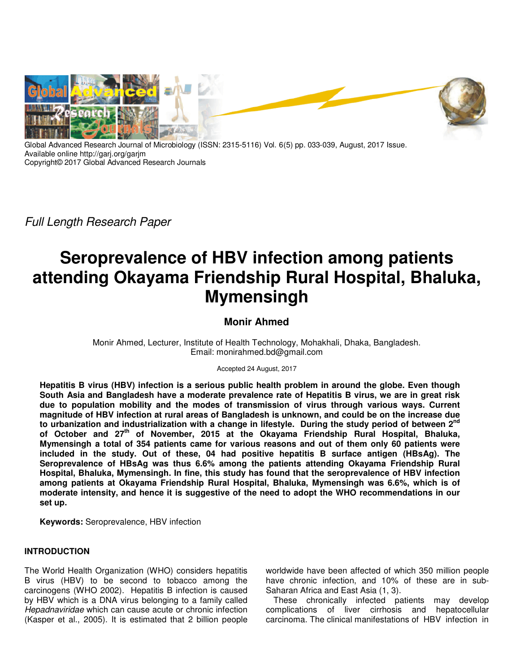

Global Advanced Research Journal of Microbiology (ISSN: 2315-5116) Vol. 6(5) pp. 033-039, August, 2017 Issue. Available online http://garj.org/garjm Copyright© 2017 Global Advanced Research Journals

Full Length Research Paper

# **Seroprevalence of HBV infection among patients attending Okayama Friendship Rural Hospital, Bhaluka, Mymensingh**

## **Monir Ahmed**

Monir Ahmed, Lecturer, Institute of Health Technology, Mohakhali, Dhaka, Bangladesh. Email: monirahmed.bd@gmail.com

Accepted 24 August, 2017

**Hepatitis B virus (HBV) infection is a serious public health problem in around the globe. Even though South Asia and Bangladesh have a moderate prevalence rate of Hepatitis B virus, we are in great risk due to population mobility and the modes of transmission of virus through various ways. Current magnitude of HBV infection at rural areas of Bangladesh is unknown, and could be on the increase due**  to urbanization and industrialization with a change in lifestyle. During the study period of between 2<sup>nd</sup> **of October and 27th of November, 2015 at the Okayama Friendship Rural Hospital, Bhaluka, Mymensingh a total of 354 patients came for various reasons and out of them only 60 patients were included in the study. Out of these, 04 had positive hepatitis B surface antigen (HBsAg). The Seroprevalence of HBsAg was thus 6.6% among the patients attending Okayama Friendship Rural Hospital, Bhaluka, Mymensingh. In fine, this study has found that the seroprevalence of HBV infection among patients at Okayama Friendship Rural Hospital, Bhaluka, Mymensingh was 6.6%, which is of moderate intensity, and hence it is suggestive of the need to adopt the WHO recommendations in our set up.** 

**Keywords:** Seroprevalence, HBV infection

## **INTRODUCTION**

The World Health Organization (WHO) considers hepatitis B virus (HBV) to be second to tobacco among the carcinogens (WHO 2002). Hepatitis B infection is caused by HBV which is a DNA virus belonging to a family called Hepadnaviridae which can cause acute or chronic infection (Kasper et al., 2005). It is estimated that 2 billion people

worldwide have been affected of which 350 million people have chronic infection, and 10% of these are in sub-Saharan Africa and East Asia (1, 3).

These chronically infected patients may develop complications of liver cirrhosis and hepatocellular carcinoma. The clinical manifestations of HBV infection in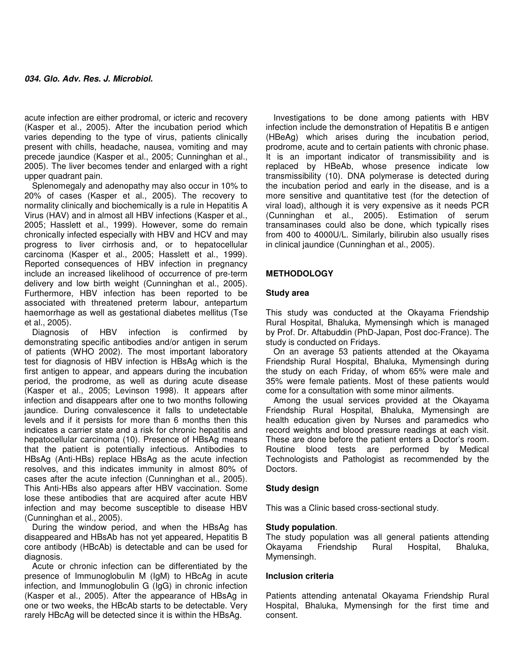acute infection are either prodromal, or icteric and recovery (Kasper et al., 2005). After the incubation period which varies depending to the type of virus, patients clinically present with chills, headache, nausea, vomiting and may precede jaundice (Kasper et al., 2005; Cunninghan et al., 2005). The liver becomes tender and enlarged with a right upper quadrant pain.

Splenomegaly and adenopathy may also occur in 10% to 20% of cases (Kasper et al., 2005). The recovery to normality clinically and biochemically is a rule in Hepatitis A Virus (HAV) and in almost all HBV infections (Kasper et al., 2005; Hasslett et al., 1999). However, some do remain chronically infected especially with HBV and HCV and may progress to liver cirrhosis and, or to hepatocellular carcinoma (Kasper et al., 2005; Hasslett et al., 1999). Reported consequences of HBV infection in pregnancy include an increased likelihood of occurrence of pre-term delivery and low birth weight (Cunninghan et al., 2005). Furthermore, HBV infection has been reported to be associated with threatened preterm labour, antepartum haemorrhage as well as gestational diabetes mellitus (Tse et al., 2005).

Diagnosis of HBV infection is confirmed by demonstrating specific antibodies and/or antigen in serum of patients (WHO 2002). The most important laboratory test for diagnosis of HBV infection is HBsAg which is the first antigen to appear, and appears during the incubation period, the prodrome, as well as during acute disease (Kasper et al., 2005; Levinson 1998). It appears after infection and disappears after one to two months following jaundice. During convalescence it falls to undetectable levels and if it persists for more than 6 months then this indicates a carrier state and a risk for chronic hepatitis and hepatocellular carcinoma (10). Presence of HBsAg means that the patient is potentially infectious. Antibodies to HBsAg (Anti-HBs) replace HBsAg as the acute infection resolves, and this indicates immunity in almost 80% of cases after the acute infection (Cunninghan et al., 2005). This Anti-HBs also appears after HBV vaccination. Some lose these antibodies that are acquired after acute HBV infection and may become susceptible to disease HBV (Cunninghan et al., 2005).

During the window period, and when the HBsAg has disappeared and HBsAb has not yet appeared, Hepatitis B core antibody (HBcAb) is detectable and can be used for diagnosis.

Acute or chronic infection can be differentiated by the presence of Immunoglobulin M (IgM) to HBcAg in acute infection, and Immunoglobulin G (IgG) in chronic infection (Kasper et al., 2005). After the appearance of HBsAg in one or two weeks, the HBcAb starts to be detectable. Very rarely HBcAg will be detected since it is within the HBsAg.

Investigations to be done among patients with HBV infection include the demonstration of Hepatitis B e antigen (HBeAg) which arises during the incubation period, prodrome, acute and to certain patients with chronic phase. It is an important indicator of transmissibility and is replaced by HBeAb, whose presence indicate low transmissibility (10). DNA polymerase is detected during the incubation period and early in the disease, and is a more sensitive and quantitative test (for the detection of viral load), although it is very expensive as it needs PCR (Cunninghan et al., 2005). Estimation of serum transaminases could also be done, which typically rises from 400 to 4000U/L. Similarly, bilirubin also usually rises in clinical jaundice (Cunninghan et al., 2005).

## **METHODOLOGY**

### **Study area**

This study was conducted at the Okayama Friendship Rural Hospital, Bhaluka, Mymensingh which is managed by Prof. Dr. Aftabuddin (PhD-Japan, Post doc-France). The study is conducted on Fridays.

On an average 53 patients attended at the Okayama Friendship Rural Hospital, Bhaluka, Mymensingh during the study on each Friday, of whom 65% were male and 35% were female patients. Most of these patients would come for a consultation with some minor ailments.

Among the usual services provided at the Okayama Friendship Rural Hospital, Bhaluka, Mymensingh are health education given by Nurses and paramedics who record weights and blood pressure readings at each visit. These are done before the patient enters a Doctor's room. Routine blood tests are performed by Medical Technologists and Pathologist as recommended by the Doctors.

### **Study design**

This was a Clinic based cross-sectional study.

#### **Study population**.

The study population was all general patients attending Okayama Friendship Rural Hospital, Bhaluka, Mymensingh.

#### **Inclusion criteria**

Patients attending antenatal Okayama Friendship Rural Hospital, Bhaluka, Mymensingh for the first time and consent.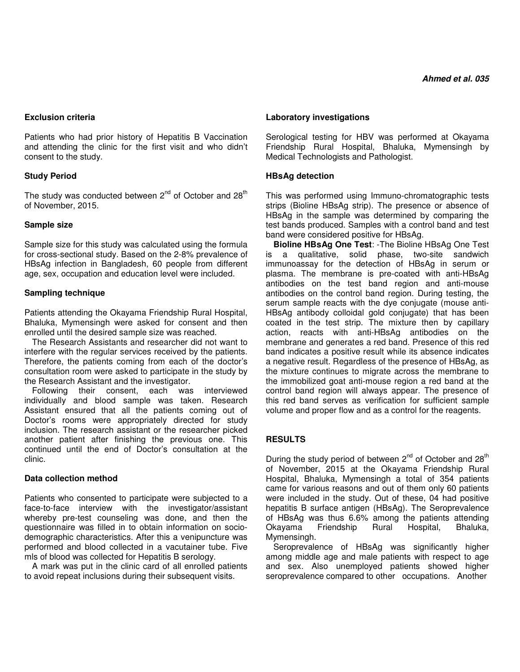## **Exclusion criteria**

Patients who had prior history of Hepatitis B Vaccination and attending the clinic for the first visit and who didn't consent to the study.

## **Study Period**

The study was conducted between  $2^{nd}$  of October and  $28<sup>th</sup>$ of November, 2015.

### **Sample size**

Sample size for this study was calculated using the formula for cross-sectional study. Based on the 2-8% prevalence of HBsAg infection in Bangladesh, 60 people from different age, sex, occupation and education level were included.

## **Sampling technique**

Patients attending the Okayama Friendship Rural Hospital, Bhaluka, Mymensingh were asked for consent and then enrolled until the desired sample size was reached.

The Research Assistants and researcher did not want to interfere with the regular services received by the patients. Therefore, the patients coming from each of the doctor's consultation room were asked to participate in the study by the Research Assistant and the investigator.

Following their consent, each was interviewed individually and blood sample was taken. Research Assistant ensured that all the patients coming out of Doctor's rooms were appropriately directed for study inclusion. The research assistant or the researcher picked another patient after finishing the previous one. This continued until the end of Doctor's consultation at the clinic.

### **Data collection method**

Patients who consented to participate were subjected to a face-to-face interview with the investigator/assistant whereby pre-test counseling was done, and then the questionnaire was filled in to obtain information on sociodemographic characteristics. After this a venipuncture was performed and blood collected in a vacutainer tube. Five mls of blood was collected for Hepatitis B serology.

A mark was put in the clinic card of all enrolled patients to avoid repeat inclusions during their subsequent visits.

## **Laboratory investigations**

Serological testing for HBV was performed at Okayama Friendship Rural Hospital, Bhaluka, Mymensingh by Medical Technologists and Pathologist.

## **HBsAg detection**

This was performed using Immuno-chromatographic tests strips (Bioline HBsAg strip). The presence or absence of HBsAg in the sample was determined by comparing the test bands produced. Samples with a control band and test band were considered positive for HBsAg.

**Bioline HBsAg One Test**: -The Bioline HBsAg One Test is a qualitative, solid phase, two-site sandwich immunoassay for the detection of HBsAg in serum or plasma. The membrane is pre-coated with anti-HBsAg antibodies on the test band region and anti-mouse antibodies on the control band region. During testing, the serum sample reacts with the dye conjugate (mouse anti-HBsAg antibody colloidal gold conjugate) that has been coated in the test strip. The mixture then by capillary action, reacts with anti-HBsAg antibodies on the membrane and generates a red band. Presence of this red band indicates a positive result while its absence indicates a negative result. Regardless of the presence of HBsAg, as the mixture continues to migrate across the membrane to the immobilized goat anti-mouse region a red band at the control band region will always appear. The presence of this red band serves as verification for sufficient sample volume and proper flow and as a control for the reagents.

## **RESULTS**

During the study period of between  $2^{nd}$  of October and  $28<sup>th</sup>$ of November, 2015 at the Okayama Friendship Rural Hospital, Bhaluka, Mymensingh a total of 354 patients came for various reasons and out of them only 60 patients were included in the study. Out of these, 04 had positive hepatitis B surface antigen (HBsAg). The Seroprevalence of HBsAg was thus 6.6% among the patients attending<br>Okayama Friendship Rural Hospital, Bhaluka, Friendship Mymensingh.

Seroprevalence of HBsAg was significantly higher among middle age and male patients with respect to age and sex. Also unemployed patients showed higher seroprevalence compared to other occupations. Another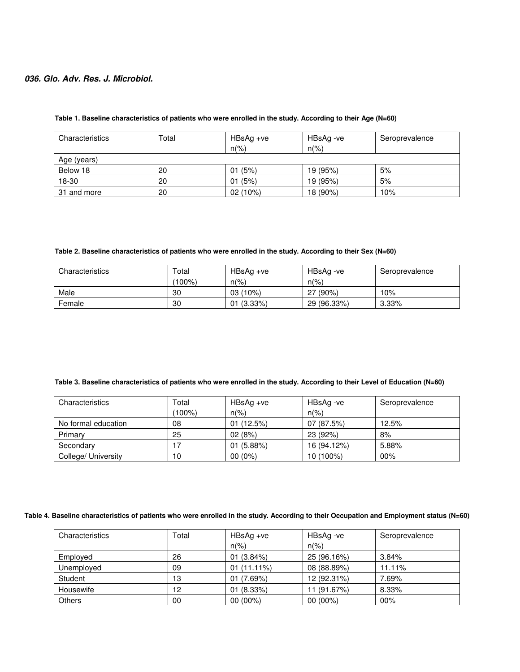| Characteristics | Total | HBsAg +ve<br>$n(\%)$ | HBsAg -ve<br>$n(\% )$ | Seroprevalence |
|-----------------|-------|----------------------|-----------------------|----------------|
| Age (years)     |       |                      |                       |                |
| Below 18        | 20    | (5%)<br>01           | 19 (95%)              | 5%             |
| 18-30           | 20    | (5%)<br>01           | 19 (95%)              | 5%             |
| 31 and more     | 20    | 02 (10%)             | 18 (90%)              | 10%            |

#### **Table 1. Baseline characteristics of patients who were enrolled in the study. According to their Age (N=60)**

#### **Table 2. Baseline characteristics of patients who were enrolled in the study. According to their Sex (N=60)**

| Characteristics | Total | $HBSAg +ve$    | HBsAg -ve      | Seroprevalence |
|-----------------|-------|----------------|----------------|----------------|
|                 | 100%) | $n\frac{9}{6}$ | $n\frac{9}{6}$ |                |
| Male            | 30    | 03 (10%)       | $(90\%)$<br>27 | 10%            |
| Female          | 30    | 01 (3.33%)     | 29 (96.33%)    | $3.33\%$       |

#### **Table 3. Baseline characteristics of patients who were enrolled in the study. According to their Level of Education (N=60)**

| Characteristics     | Total<br>$(100\%)$ | $HBSAg +ve$<br>$n\frac{9}{6}$ | HBsAg -ve<br>$n(\% )$ | Seroprevalence |
|---------------------|--------------------|-------------------------------|-----------------------|----------------|
| No formal education | 08                 | 01(12.5%)                     | 07 (87.5%)            | 12.5%          |
| Primary             | 25                 | 02(8%)                        | 23 (92%)              | 8%             |
| Secondary           |                    | 01(5.88%)                     | 16 (94.12%)           | 5.88%          |
| College/ University | 10                 | $00(0\%)$                     | 10 (100%)             | 00%            |

#### **Table 4. Baseline characteristics of patients who were enrolled in the study. According to their Occupation and Employment status (N=60)**

| Characteristics | Total | $HBSAg +ve$<br>$n\frac{9}{6}$ | HBsAg -ve<br>$n\frac{9}{6}$ | Seroprevalence |
|-----------------|-------|-------------------------------|-----------------------------|----------------|
| Employed        | 26    | 01(3.84%)                     | 25 (96.16%)                 | 3.84%          |
| Unemployed      | 09    | $01(11.11\%)$                 | 08 (88.89%)                 | 11.11%         |
| Student         | 13    | 01(7.69%)                     | 12 (92.31%)                 | 7.69%          |
| Housewife       | 12    | 01(8.33%)                     | (91.67%)                    | 8.33%          |
| <b>Others</b>   | 00    | $00(00\%)$                    | $00(00\%)$                  | 00%            |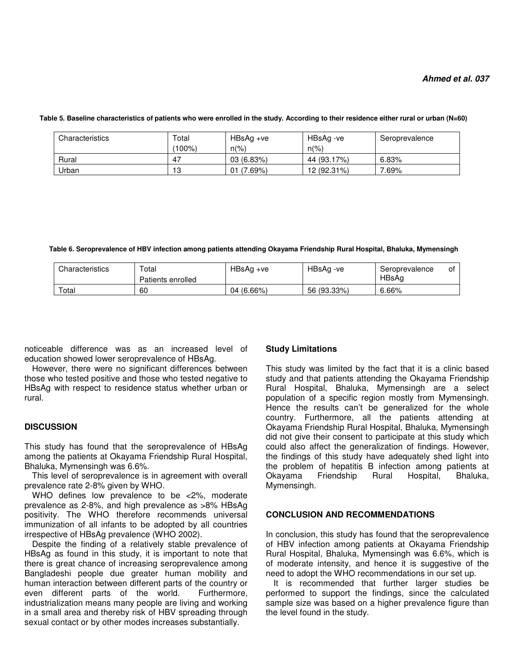| Characteristics | Total     | $HBSAg +ve$    | HBsAg -ve      | Seroprevalence |
|-----------------|-----------|----------------|----------------|----------------|
|                 | $(100\%)$ | $n\frac{9}{6}$ | $n\frac{9}{6}$ |                |
| Rural           | -47       | 03(6.83%)      | 44 (93.17%)    | 6.83%          |
| Urban           | 13        | (7.69%)<br>01  | 12 (92.31%)    | .69%           |

 **Table 5. Baseline characteristics of patients who were enrolled in the study. According to their residence either rural or urban (N=60)** 

 **Table 6. Seroprevalence of HBV infection among patients attending Okayama Friendship Rural Hospital, Bhaluka, Mymensingh** 

| Characteristics | Total<br>Patients enrolled | HBsAg +ve  | HBsAg -ve   | Seroprevalence<br>HBsAa | οt |
|-----------------|----------------------------|------------|-------------|-------------------------|----|
| Total           | 60                         | 04 (6.66%) | 56 (93.33%) | 6.66%                   |    |

noticeable difference was as an increased level of education showed lower seroprevalence of HBsAg.

However, there were no significant differences between those who tested positive and those who tested negative to HBsAg with respect to residence status whether urban or rural.

### **DISCUSSION**

This study has found that the seroprevalence of HBsAg among the patients at Okayama Friendship Rural Hospital, Bhaluka, Mymensingh was 6.6%.

This level of seroprevalence is in agreement with overall prevalence rate 2-8% given by WHO.

WHO defines low prevalence to be <2%, moderate prevalence as 2-8%, and high prevalence as >8% HBsAg positivity. The WHO therefore recommends universal immunization of all infants to be adopted by all countries irrespective of HBsAg prevalence (WHO 2002).

Despite the finding of a relatively stable prevalence of HBsAg as found in this study, it is important to note that there is great chance of increasing seroprevalence among Bangladeshi people due greater human mobility and human interaction between different parts of the country or<br>even different parts of the world. Furthermore, even different parts of the world. industrialization means many people are living and working in a small area and thereby risk of HBV spreading through sexual contact or by other modes increases substantially.

#### **Study Limitations**

This study was limited by the fact that it is a clinic based study and that patients attending the Okayama Friendship Rural Hospital, Bhaluka, Mymensingh are a select population of a specific region mostly from Mymensingh. Hence the results can't be generalized for the whole country. Furthermore, all the patients attending at Okayama Friendship Rural Hospital, Bhaluka, Mymensingh did not give their consent to participate at this study which could also affect the generalization of findings. However, the findings of this study have adequately shed light into the problem of hepatitis B infection among patients at<br>Okayama Friendship Rural Hospital, Bhaluka, Friendship Mymensingh.

### **CONCLUSION AND RECOMMENDATIONS**

In conclusion, this study has found that the seroprevalence of HBV infection among patients at Okayama Friendship Rural Hospital, Bhaluka, Mymensingh was 6.6%, which is of moderate intensity, and hence it is suggestive of the need to adopt the WHO recommendations in our set up.

It is recommended that further larger studies be performed to support the findings, since the calculated sample size was based on a higher prevalence figure than the level found in the study.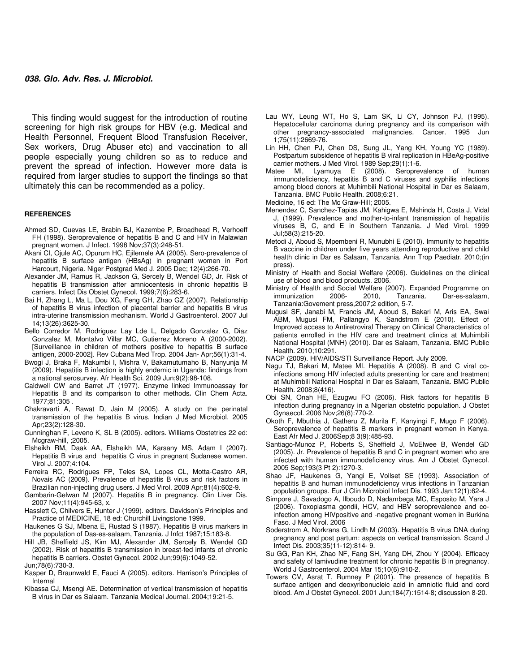This finding would suggest for the introduction of routine screening for high risk groups for HBV (e.g. Medical and Health Personnel, Frequent Blood Transfusion Receiver, Sex workers, Drug Abuser etc) and vaccination to all people especially young children so as to reduce and prevent the spread of infection. However more data is required from larger studies to support the findings so that ultimately this can be recommended as a policy.

#### **REFERENCES**

- Ahmed SD, Cuevas LE, Brabin BJ, Kazembe P, Broadhead R, Verhoeff FH (1998). Seroprevalence of hepatitis B and C and HIV in Malawian pregnant women. J Infect. 1998 Nov;37(3):248-51.
- Akani CI, Ojule AC, Opurum HC, Ejilemele AA (2005). Sero-prevalence of hepatitis B surface antigen (HBsAg) in pregnant women in Port Harcourt, Nigeria. Niger Postgrad Med J. 2005 Dec; 12(4):266-70.
- Alexander JM, Ramus R, Jackson G, Sercely B, Wendel GD, Jr. Risk of hepatitis B transmission after amniocentesis in chronic hepatitis B carriers. Infect Dis Obstet Gynecol. 1999;7(6):283-6.
- Bai H, Zhang L, Ma L, Dou XG, Feng GH, Zhao GZ (2007). Relationship of hepatitis B virus infection of placental barrier and hepatitis B virus intra-uterine transmission mechanism. World J Gastroenterol. 2007 Jul 14;13(26):3625-30.
- Bello Corredor M, Rodriguez Lay Lde L, Delgado Gonzalez G, Diaz Gonzalez M, Montalvo Villar MC, Gutierrez Moreno A (2000-2002). [Surveillance in children of mothers positive to hepatitis B surface antigen, 2000-2002]. Rev Cubana Med Trop. 2004 Jan- Apr;56(1):31-4.
- Bwogi J, Braka F, Makumbi I, Mishra V, Bakamutumaho B, Nanyunja M (2009). Hepatitis B infection is highly endemic in Uganda: findings from a national serosurvey. Afr Health Sci. 2009 Jun;9(2):98-108.
- Caldwell CW and Barret JT (1977). Enzyme linked Immunoassay for Hepatitis B and its comparison to other methods**.** Clin Chem Acta. 1977;81:305 .
- Chakravarti A, Rawat D, Jain M (2005). A study on the perinatal transmission of the hepatitis B virus. Indian J Med Microbiol. 2005 Apr;23(2):128-30.
- Cunninghan F, Leveno K, SL B (2005). editors. Williams Obstetrics 22 ed: Mcgraw-hill, ;2005.
- Elsheikh RM, Daak AA, Elsheikh MA, Karsany MS, Adam I (2007). Hepatitis B virus and hepatitis C virus in pregnant Sudanese women. Virol J. 2007;4:104.
- Ferreira RC, Rodrigues FP, Teles SA, Lopes CL, Motta-Castro AR, Novais AC (2009). Prevalence of hepatitis B virus and risk factors in Brazilian non-injecting drug users. J Med Virol. 2009 Apr;81(4):602-9.
- Gambarin-Gelwan M (2007). Hepatitis B in pregnancy. Clin Liver Dis. 2007 Nov;11(4):945-63, x.
- Hasslett C, Chilvers E, Hunter J (1999). editors. Davidson's Principles and Practice of MEDICINE, 18 ed: Churchill Livingstone 1999.
- Haukenes G SJ, Mbena E, Rustad S (1987). Hepatitis B virus markers in the population of Das-es-salaam, Tanzania. J Infct 1987;15:183-8.
- Hill JB, Sheffield JS, Kim MJ, Alexander JM, Sercely B, Wendel GD (2002). Risk of hepatitis B transmission in breast-fed infants of chronic hepatitis B carriers. Obstet Gynecol. 2002 Jun;99(6):1049-52. Jun;78(6):730-3.
- Kasper D, Braunwald E, Fauci A (2005). editors. Harrison's Principles of Internal
- Kibassa CJ, Msengi AE. Determination of vertical transmission of hepatitis B virus in Dar es Salaam. Tanzania Medical Journal. 2004;19:21-5.
- Lau WY, Leung WT, Ho S, Lam SK, Li CY, Johnson PJ, (1995). Hepatocellular carcinoma during pregnancy and its comparison with other pregnancy-associated malignancies. Cancer. 1995 Jun 1;75(11):2669-76.
- Lin HH, Chen PJ, Chen DS, Sung JL, Yang KH, Young YC (1989). Postpartum subsidence of hepatitis B viral replication in HBeAg-positive carrier mothers. J Med Virol. 1989 Sep;29(1):1-6.
- Matee MI, Lyamuya E (2008). Seroprevalence of human immunodeficiency, hepatitis B and C viruses and syphilis infections among blood donors at Muhimbili National Hospital in Dar es Salaam, Tanzania. BMC Public Health. 2008;6:21.
- Medicine, 16 ed: The Mc Graw-Hill; 2005.
- Menendez C, Sanchez-Tapias JM, Kahigwa E, Mshinda H, Costa J, Vidal J, (1999). Prevalence and mother-to-infant transmission of hepatitis viruses B, C, and E in Southern Tanzania. J Med Virol. 1999 Jul;58(3):215-20.
- Metodi J, Aboud S, Mpembeni R, Munubhi E (2010). Immunity to hepatitis B vaccine in children under five years attending reproductive and child health clinic in Dar es Salaam, Tanzania. Ann Trop Paediatr. 2010;(in press).
- Ministry of Health and Social Welfare (2006). Guidelines on the clinical use of blood and blood products. 2006.
- Ministry of Health and Social Welfare (2007). Expanded Programme on Dar-es-salaam, Tanzania:Govement press,2007;2 edition, 5-7.
- Mugusi SF, Janabi M, Francis JM, Aboud S, Bakari M, Aris EA, Swai ABM, Mugusi FM, Pallangyo K, Sandstrom E (2010). Effect of Improved access to Antiretroviral Therapy on Clinical Characteristics of patients enrolled in the HIV care and treatment clinics at Muhimbili National Hospital (MNH) (2010). Dar es Salaam, Tanzania. BMC Public Health. 2010;10:291.
- NACP (2009). HIV/AIDS/STI Surveillance Report. July 2009.
- Nagu TJ, Bakari M, Matee MI. Hepatitis A (2008). B and C viral coinfections among HIV infected adults presenting for care and treatment at Muhimbili National Hospital in Dar es Salaam, Tanzania. BMC Public Health. 2008;8(416).
- Obi SN, Onah HE, Ezugwu FO (2006). Risk factors for hepatitis B infection during pregnancy in a Nigerian obstetric population. J Obstet Gynaecol. 2006 Nov;26(8):770-2.
- Okoth F, Mbuthia J, Gatheru Z, Murila F, Kanyingi F, Mugo F (2006). Seroprevalence of hepatitis B markers in pregnant women in Kenya. East Afr Med J. 2006Sep;8 3(9):485-93.
- Santiago-Munoz P, Roberts S, Sheffield J, McElwee B, Wendel GD (2005). Jr. Prevalence of hepatitis B and C in pregnant women who are infected with human immunodeficiency virus. Am J Obstet Gynecol. 2005 Sep;193(3 Pt 2):1270-3.
- Shao JF, Haukenes G, Yangi E, Vollset SE (1993). Association of hepatitis B and human immunodeficiency virus infections in Tanzanian population groups. Eur J Clin Microbiol Infect Dis. 1993 Jan;12(1):62-4.
- Simpore J, Savadogo A, Ilboudo D, Nadambega MC, Esposito M, Yara J (2006). Toxoplasma gondii, HCV, and HBV seroprevalence and coinfection among HIVpositive and -negative pregnant women in Burkina Faso. J Med Virol. 2006
- Soderstrom A, Norkrans G, Lindh M (2003). Hepatitis B virus DNA during pregnancy and post partum: aspects on vertical transmission. Scand J Infect Dis. 2003;35(11-12):814- 9.
- Su GG, Pan KH, Zhao NF, Fang SH, Yang DH, Zhou Y (2004). Efficacy and safety of lamivudine treatment for chronic hepatitis B in pregnancy. World J Gastroenterol. 2004 Mar 15;10(6):910-2.
- Towers CV, Asrat T, Rumney P (2001). The presence of hepatitis B surface antigen and deoxyribonucleic acid in amniotic fluid and cord blood. Am J Obstet Gynecol. 2001 Jun;184(7):1514-8; discussion 8-20.